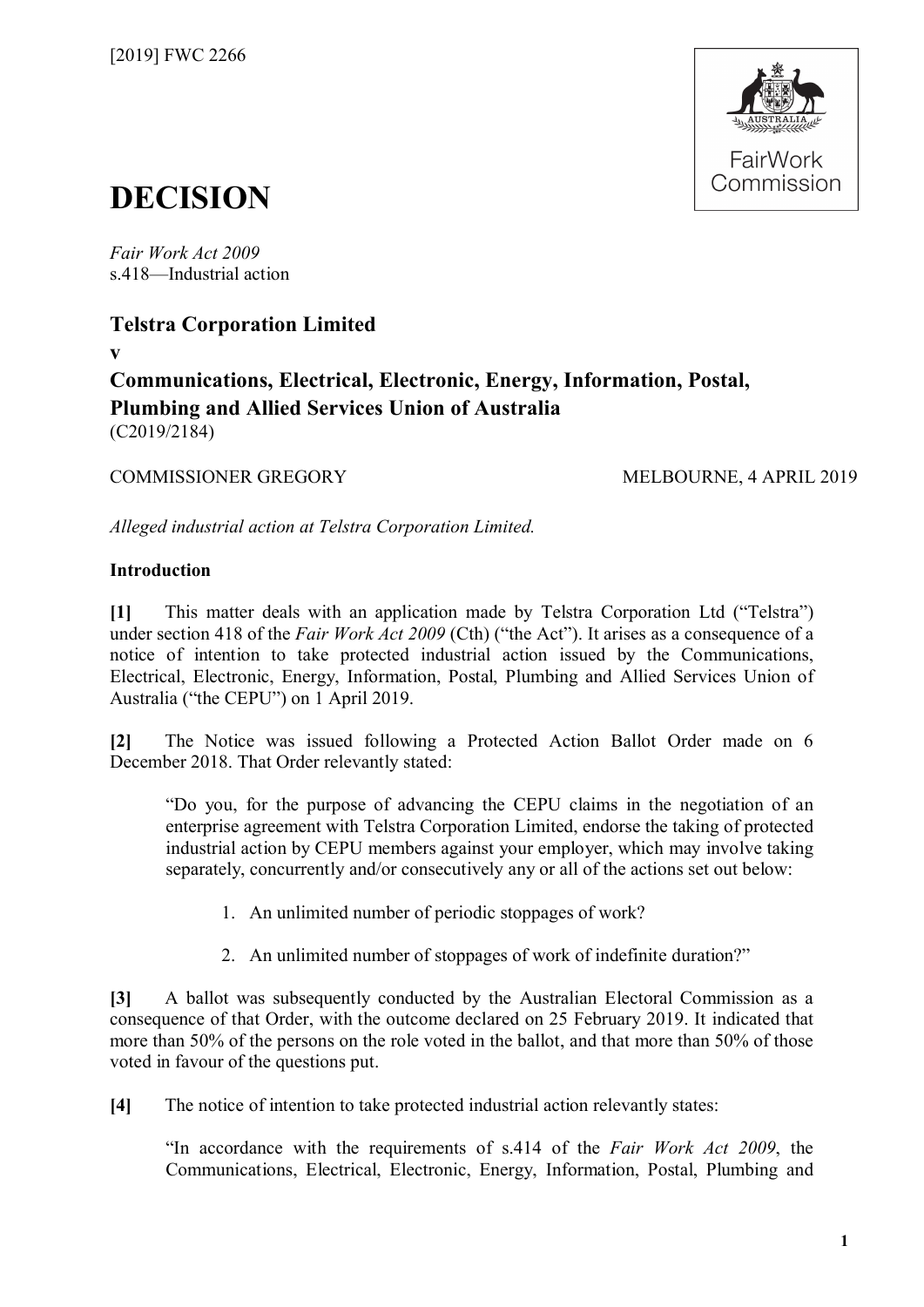

# **DECISION**

*Fair Work Act 2009*  s.418—Industrial action

## **Telstra Corporation Limited**

**v**

**Communications, Electrical, Electronic, Energy, Information, Postal, Plumbing and Allied Services Union of Australia** (C2019/2184)

## COMMISSIONER GREGORY MELBOURNE, 4 APRIL 2019

*Alleged industrial action at Telstra Corporation Limited.*

### **Introduction**

**[1]** This matter deals with an application made by Telstra Corporation Ltd ("Telstra") under section 418 of the *Fair Work Act 2009* (Cth) ("the Act"). It arises as a consequence of a notice of intention to take protected industrial action issued by the Communications, Electrical, Electronic, Energy, Information, Postal, Plumbing and Allied Services Union of Australia ("the CEPU") on 1 April 2019.

**[2]** The Notice was issued following a Protected Action Ballot Order made on 6 December 2018. That Order relevantly stated:

"Do you, for the purpose of advancing the CEPU claims in the negotiation of an enterprise agreement with Telstra Corporation Limited, endorse the taking of protected industrial action by CEPU members against your employer, which may involve taking separately, concurrently and/or consecutively any or all of the actions set out below:

- 1. An unlimited number of periodic stoppages of work?
- 2. An unlimited number of stoppages of work of indefinite duration?"

**[3]** A ballot was subsequently conducted by the Australian Electoral Commission as a consequence of that Order, with the outcome declared on 25 February 2019. It indicated that more than 50% of the persons on the role voted in the ballot, and that more than 50% of those voted in favour of the questions put.

**[4]** The notice of intention to take protected industrial action relevantly states:

"In accordance with the requirements of s.414 of the *Fair Work Act 2009*, the Communications, Electrical, Electronic, Energy, Information, Postal, Plumbing and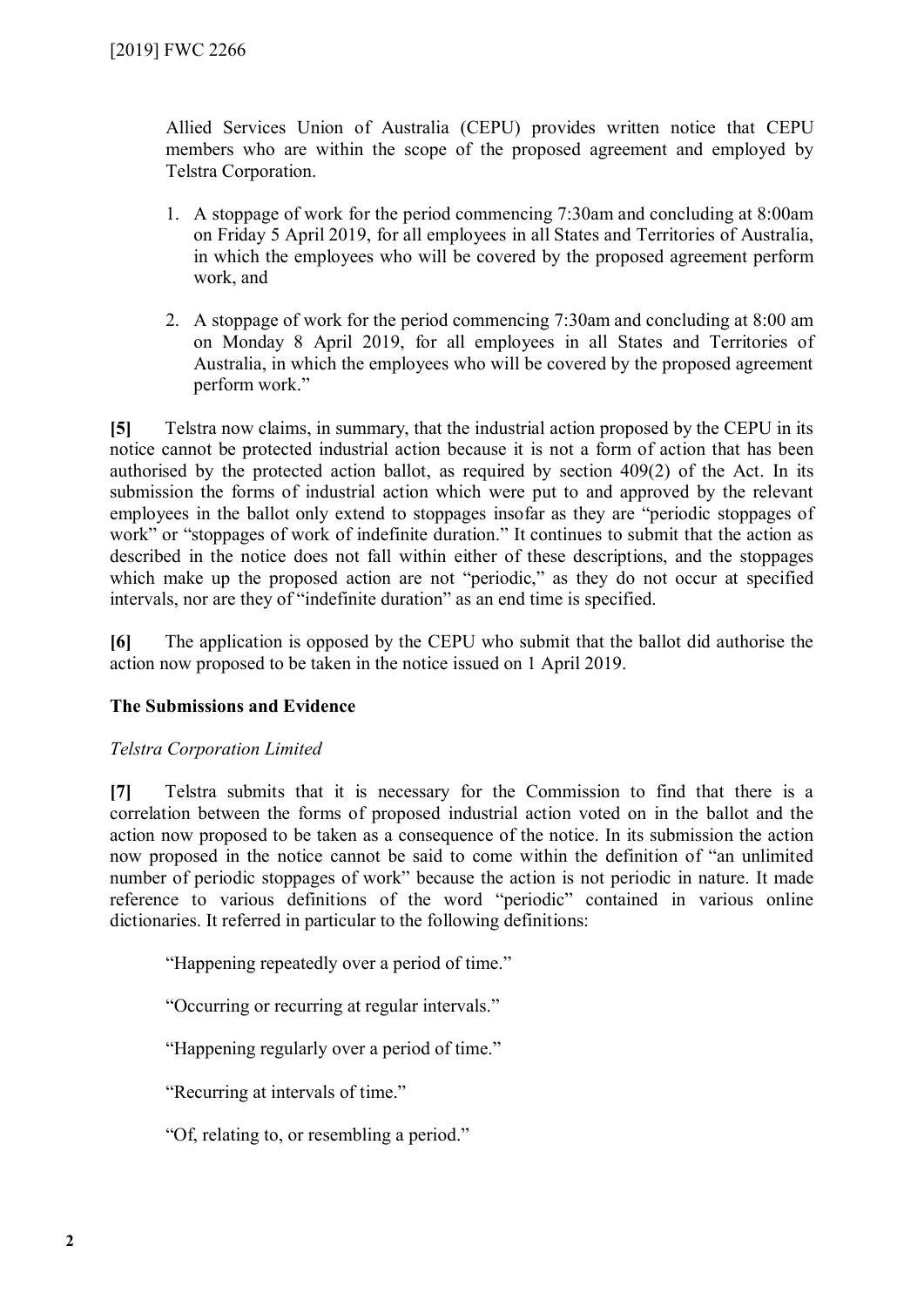Allied Services Union of Australia (CEPU) provides written notice that CEPU members who are within the scope of the proposed agreement and employed by Telstra Corporation.

- 1. A stoppage of work for the period commencing 7:30am and concluding at 8:00am on Friday 5 April 2019, for all employees in all States and Territories of Australia, in which the employees who will be covered by the proposed agreement perform work, and
- 2. A stoppage of work for the period commencing 7:30am and concluding at 8:00 am on Monday 8 April 2019, for all employees in all States and Territories of Australia, in which the employees who will be covered by the proposed agreement perform work."

**[5]** Telstra now claims, in summary, that the industrial action proposed by the CEPU in its notice cannot be protected industrial action because it is not a form of action that has been authorised by the protected action ballot, as required by section 409(2) of the Act. In its submission the forms of industrial action which were put to and approved by the relevant employees in the ballot only extend to stoppages insofar as they are "periodic stoppages of work" or "stoppages of work of indefinite duration." It continues to submit that the action as described in the notice does not fall within either of these descriptions, and the stoppages which make up the proposed action are not "periodic," as they do not occur at specified intervals, nor are they of "indefinite duration" as an end time is specified.

**[6]** The application is opposed by the CEPU who submit that the ballot did authorise the action now proposed to be taken in the notice issued on 1 April 2019.

#### **The Submissions and Evidence**

#### *Telstra Corporation Limited*

**[7]** Telstra submits that it is necessary for the Commission to find that there is a correlation between the forms of proposed industrial action voted on in the ballot and the action now proposed to be taken as a consequence of the notice. In its submission the action now proposed in the notice cannot be said to come within the definition of "an unlimited number of periodic stoppages of work" because the action is not periodic in nature. It made reference to various definitions of the word "periodic" contained in various online dictionaries. It referred in particular to the following definitions:

"Happening repeatedly over a period of time."

"Occurring or recurring at regular intervals."

"Happening regularly over a period of time."

"Recurring at intervals of time."

"Of, relating to, or resembling a period."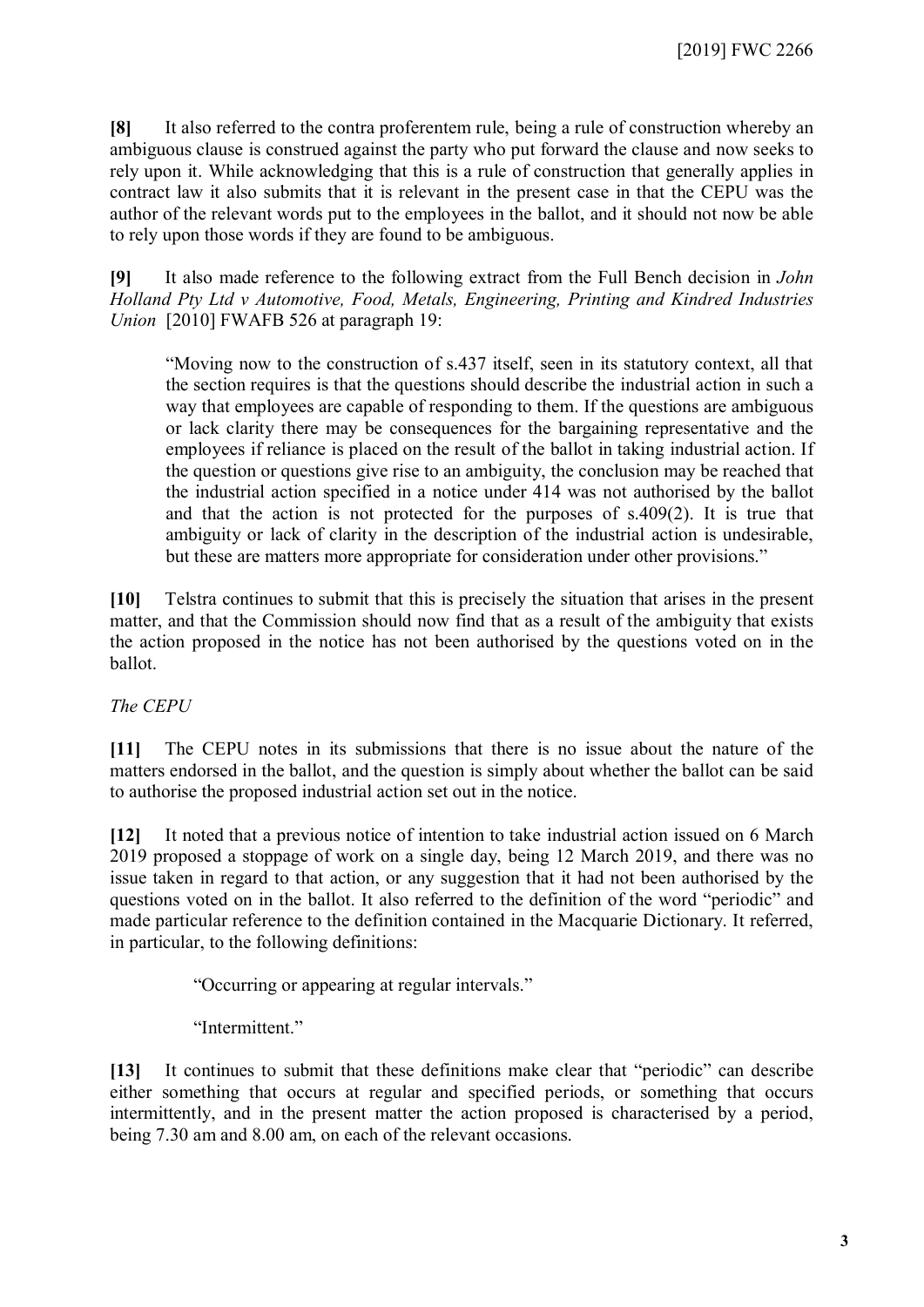**[8]** It also referred to the contra proferentem rule, being a rule of construction whereby an ambiguous clause is construed against the party who put forward the clause and now seeks to rely upon it. While acknowledging that this is a rule of construction that generally applies in contract law it also submits that it is relevant in the present case in that the CEPU was the author of the relevant words put to the employees in the ballot, and it should not now be able to rely upon those words if they are found to be ambiguous.

**[9]** It also made reference to the following extract from the Full Bench decision in *John Holland Pty Ltd v Automotive, Food, Metals, Engineering, Printing and Kindred Industries Union* [2010] FWAFB 526 at paragraph 19:

"Moving now to the construction of s.437 itself, seen in its statutory context, all that the section requires is that the questions should describe the industrial action in such a way that employees are capable of responding to them. If the questions are ambiguous or lack clarity there may be consequences for the bargaining representative and the employees if reliance is placed on the result of the ballot in taking industrial action. If the question or questions give rise to an ambiguity, the conclusion may be reached that the industrial action specified in a notice under 414 was not authorised by the ballot and that the action is not protected for the purposes of s.409(2). It is true that ambiguity or lack of clarity in the description of the industrial action is undesirable, but these are matters more appropriate for consideration under other provisions."

**[10]** Telstra continues to submit that this is precisely the situation that arises in the present matter, and that the Commission should now find that as a result of the ambiguity that exists the action proposed in the notice has not been authorised by the questions voted on in the ballot.

*The CEPU*

**[11]** The CEPU notes in its submissions that there is no issue about the nature of the matters endorsed in the ballot, and the question is simply about whether the ballot can be said to authorise the proposed industrial action set out in the notice.

**[12]** It noted that a previous notice of intention to take industrial action issued on 6 March 2019 proposed a stoppage of work on a single day, being 12 March 2019, and there was no issue taken in regard to that action, or any suggestion that it had not been authorised by the questions voted on in the ballot. It also referred to the definition of the word "periodic" and made particular reference to the definition contained in the Macquarie Dictionary. It referred, in particular, to the following definitions:

"Occurring or appearing at regular intervals."

"Intermittent"

**[13]** It continues to submit that these definitions make clear that "periodic" can describe either something that occurs at regular and specified periods, or something that occurs intermittently, and in the present matter the action proposed is characterised by a period, being 7.30 am and 8.00 am, on each of the relevant occasions.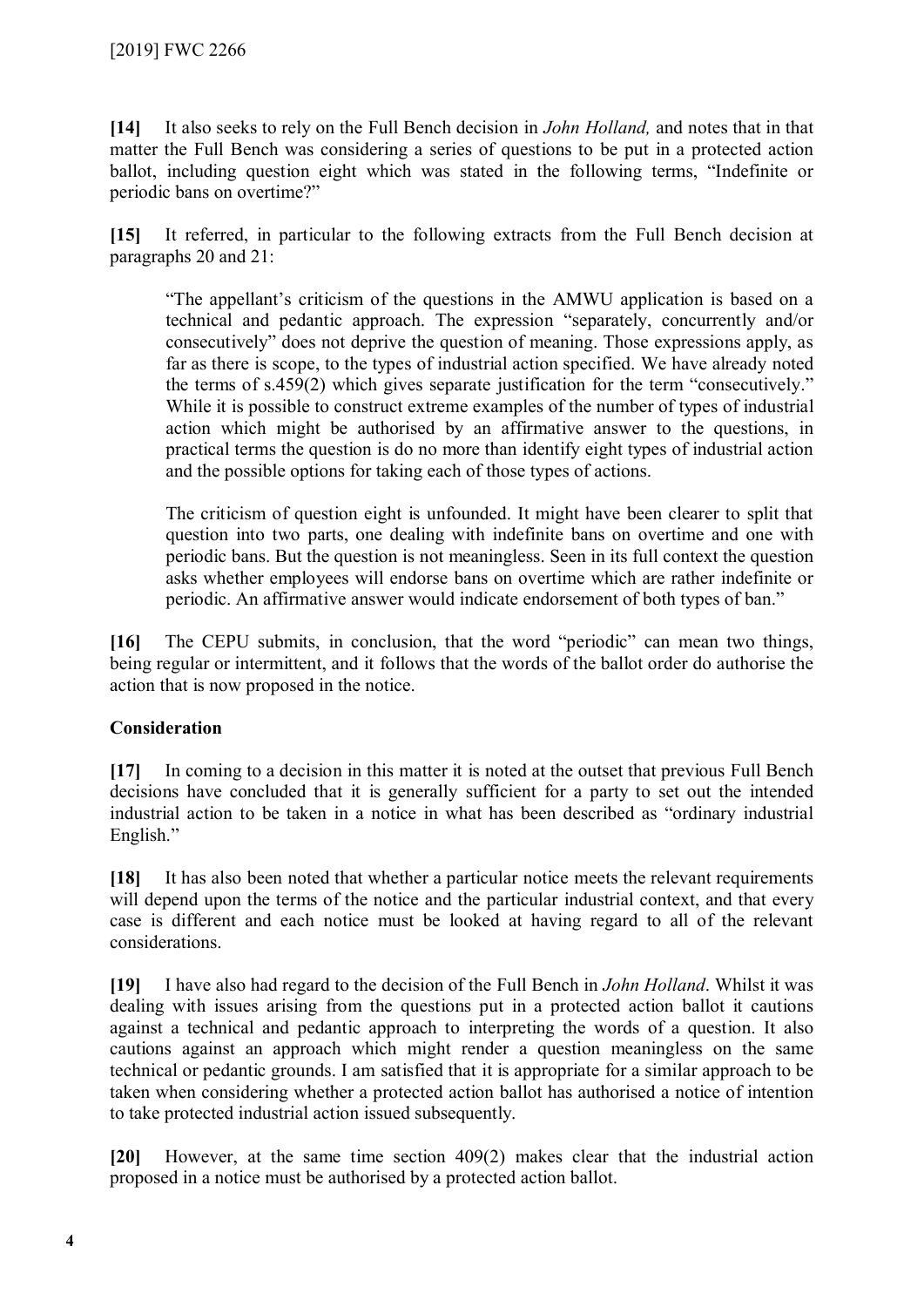**[14]** It also seeks to rely on the Full Bench decision in *John Holland,* and notes that in that matter the Full Bench was considering a series of questions to be put in a protected action ballot, including question eight which was stated in the following terms, "Indefinite or periodic bans on overtime?"

**[15]** It referred, in particular to the following extracts from the Full Bench decision at paragraphs 20 and 21:

"The appellant's criticism of the questions in the AMWU application is based on a technical and pedantic approach. The expression "separately, concurrently and/or consecutively" does not deprive the question of meaning. Those expressions apply, as far as there is scope, to the types of industrial action specified. We have already noted the terms of s.459(2) which gives separate justification for the term "consecutively." While it is possible to construct extreme examples of the number of types of industrial action which might be authorised by an affirmative answer to the questions, in practical terms the question is do no more than identify eight types of industrial action and the possible options for taking each of those types of actions.

The criticism of question eight is unfounded. It might have been clearer to split that question into two parts, one dealing with indefinite bans on overtime and one with periodic bans. But the question is not meaningless. Seen in its full context the question asks whether employees will endorse bans on overtime which are rather indefinite or periodic. An affirmative answer would indicate endorsement of both types of ban."

**[16]** The CEPU submits, in conclusion, that the word "periodic" can mean two things, being regular or intermittent, and it follows that the words of the ballot order do authorise the action that is now proposed in the notice.

#### **Consideration**

**[17]** In coming to a decision in this matter it is noted at the outset that previous Full Bench decisions have concluded that it is generally sufficient for a party to set out the intended industrial action to be taken in a notice in what has been described as "ordinary industrial English."

**[18]** It has also been noted that whether a particular notice meets the relevant requirements will depend upon the terms of the notice and the particular industrial context, and that every case is different and each notice must be looked at having regard to all of the relevant considerations.

**[19]** I have also had regard to the decision of the Full Bench in *John Holland*. Whilst it was dealing with issues arising from the questions put in a protected action ballot it cautions against a technical and pedantic approach to interpreting the words of a question. It also cautions against an approach which might render a question meaningless on the same technical or pedantic grounds. I am satisfied that it is appropriate for a similar approach to be taken when considering whether a protected action ballot has authorised a notice of intention to take protected industrial action issued subsequently.

**[20]** However, at the same time section 409(2) makes clear that the industrial action proposed in a notice must be authorised by a protected action ballot.